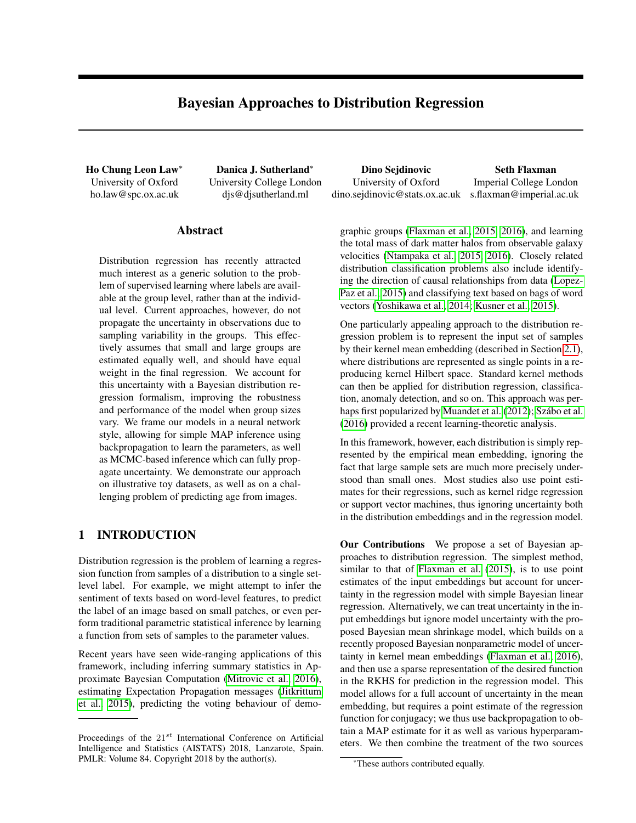# Bayesian Approaches to Distribution Regression

University of Oxford ho.law@spc.ox.ac.uk University College London djs@djsutherland.ml

Abstract

Distribution regression has recently attracted much interest as a generic solution to the problem of supervised learning where labels are available at the group level, rather than at the individual level. Current approaches, however, do not propagate the uncertainty in observations due to sampling variability in the groups. This effectively assumes that small and large groups are estimated equally well, and should have equal weight in the final regression. We account for this uncertainty with a Bayesian distribution regression formalism, improving the robustness and performance of the model when group sizes vary. We frame our models in a neural network style, allowing for simple MAP inference using backpropagation to learn the parameters, as well as MCMC-based inference which can fully propagate uncertainty. We demonstrate our approach on illustrative toy datasets, as well as on a challenging problem of predicting age from images.

# 1 INTRODUCTION

Distribution regression is the problem of learning a regression function from samples of a distribution to a single setlevel label. For example, we might attempt to infer the sentiment of texts based on word-level features, to predict the label of an image based on small patches, or even perform traditional parametric statistical inference by learning a function from sets of samples to the parameter values.

Recent years have seen wide-ranging applications of this framework, including inferring summary statistics in Approximate Bayesian Computation [\(Mitrovic et al., 2016\)](#page-8-0), estimating Expectation Propagation messages [\(Jitkrittum](#page-8-1) [et al., 2015\)](#page-8-1), predicting the voting behaviour of demo-

Ho Chung Leon Law<sup>∗</sup> Danica J. Sutherland<sup>∗</sup> Dino Sejdinovic Seth Flaxman University of Oxford dino.sejdinovic@stats.ox.ac.uk

Imperial College London s.flaxman@imperial.ac.uk

graphic groups [\(Flaxman et al., 2015,](#page-8-2) [2016\)](#page-8-3), and learning the total mass of dark matter halos from observable galaxy velocities [\(Ntampaka et al., 2015,](#page-8-4) [2016\)](#page-9-0). Closely related distribution classification problems also include identifying the direction of causal relationships from data [\(Lopez-](#page-8-5)[Paz et al., 2015\)](#page-8-5) and classifying text based on bags of word vectors [\(Yoshikawa et al., 2014;](#page-9-1) [Kusner et al., 2015\)](#page-8-6).

One particularly appealing approach to the distribution regression problem is to represent the input set of samples by their kernel mean embedding (described in Section [2.1\)](#page-1-0), where distributions are represented as single points in a reproducing kernel Hilbert space. Standard kernel methods can then be applied for distribution regression, classification, anomaly detection, and so on. This approach was per-haps first popularized by [Muandet et al.](#page-8-7) [\(2012\)](#page-8-7); Szábo et al. [\(2016\)](#page-9-2) provided a recent learning-theoretic analysis.

In this framework, however, each distribution is simply represented by the empirical mean embedding, ignoring the fact that large sample sets are much more precisely understood than small ones. Most studies also use point estimates for their regressions, such as kernel ridge regression or support vector machines, thus ignoring uncertainty both in the distribution embeddings and in the regression model.

Our Contributions We propose a set of Bayesian approaches to distribution regression. The simplest method, similar to that of [Flaxman et al.](#page-8-2) [\(2015\)](#page-8-2), is to use point estimates of the input embeddings but account for uncertainty in the regression model with simple Bayesian linear regression. Alternatively, we can treat uncertainty in the input embeddings but ignore model uncertainty with the proposed Bayesian mean shrinkage model, which builds on a recently proposed Bayesian nonparametric model of uncertainty in kernel mean embeddings [\(Flaxman et al., 2016\)](#page-8-8), and then use a sparse representation of the desired function in the RKHS for prediction in the regression model. This model allows for a full account of uncertainty in the mean embedding, but requires a point estimate of the regression function for conjugacy; we thus use backpropagation to obtain a MAP estimate for it as well as various hyperparameters. We then combine the treatment of the two sources

Proceedings of the  $21^{st}$  International Conference on Artificial Intelligence and Statistics (AISTATS) 2018, Lanzarote, Spain. PMLR: Volume 84. Copyright 2018 by the author(s).

<sup>\*</sup>These authors contributed equally.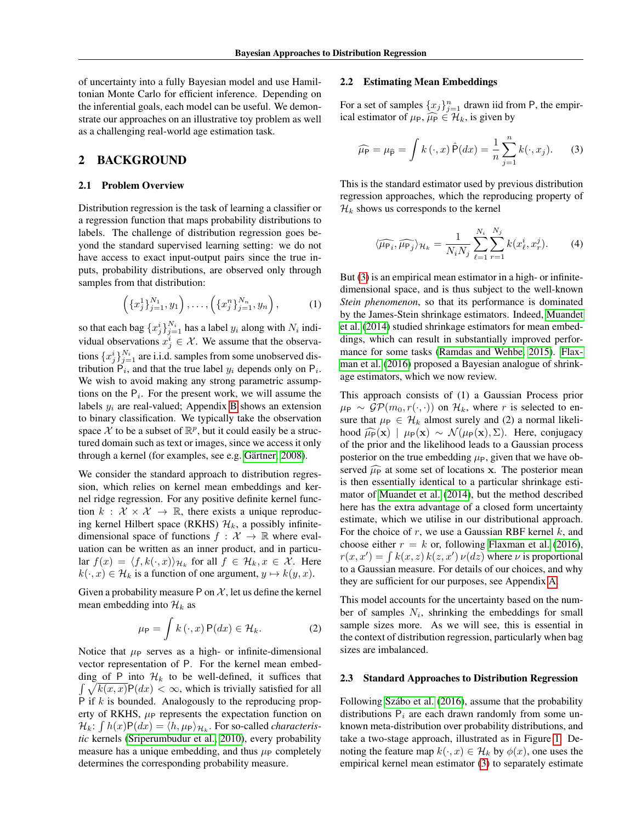of uncertainty into a fully Bayesian model and use Hamiltonian Monte Carlo for efficient inference. Depending on the inferential goals, each model can be useful. We demonstrate our approaches on an illustrative toy problem as well as a challenging real-world age estimation task.

### 2 BACKGROUND

#### <span id="page-1-0"></span>2.1 Problem Overview

Distribution regression is the task of learning a classifier or a regression function that maps probability distributions to labels. The challenge of distribution regression goes beyond the standard supervised learning setting: we do not have access to exact input-output pairs since the true inputs, probability distributions, are observed only through samples from that distribution:

$$
\left(\{x_j^1\}_{j=1}^{N_1}, y_1\right), \dots, \left(\{x_j^n\}_{j=1}^{N_n}, y_n\right), \qquad (1)
$$

so that each bag  $\{x_j^i\}_{j=1}^{N_i}$  has a label  $y_i$  along with  $N_i$  individual observations  $x_j^i \in \mathcal{X}$ . We assume that the observations  $\{x_j^i\}_{j=1}^{N_i}$  are i.i.d. samples from some unobserved distribution  $P_i$ , and that the true label  $y_i$  depends only on  $P_i$ . We wish to avoid making any strong parametric assumptions on the  $P_i$ . For the present work, we will assume the labels  $y_i$  are real-valued; Appendix [B](#page--1-0) shows an extension to binary classification. We typically take the observation space  $\mathcal X$  to be a subset of  $\mathbb R^p$ , but it could easily be a structured domain such as text or images, since we access it only through a kernel (for examples, see e.g. Gärtner, 2008).

We consider the standard approach to distribution regression, which relies on kernel mean embeddings and kernel ridge regression. For any positive definite kernel function  $k : \mathcal{X} \times \mathcal{X} \rightarrow \mathbb{R}$ , there exists a unique reproducing kernel Hilbert space (RKHS)  $\mathcal{H}_k$ , a possibly infinitedimensional space of functions  $f : \mathcal{X} \to \mathbb{R}$  where evaluation can be written as an inner product, and in particular  $f(x) = \langle f, k(\cdot, x) \rangle_{\mathcal{H}_k}$  for all  $f \in \mathcal{H}_k, x \in \mathcal{X}$ . Here  $k(\cdot, x) \in \mathcal{H}_k$  is a function of one argument,  $y \mapsto k(y, x)$ .

Given a probability measure P on  $\mathcal{X}$ , let us define the kernel mean embedding into  $\mathcal{H}_k$  as

$$
\mu_{\mathsf{P}} = \int k(\cdot, x) \, \mathsf{P}(dx) \in \mathcal{H}_k. \tag{2}
$$

Notice that  $\mu_P$  serves as a high- or infinite-dimensional vector representation of P. For the kernel mean embedding of P into  $\mathcal{H}_k$  to be well-defined, it suffices that  $\int \sqrt{k(x, x)} P(dx) < \infty$ , which is trivially satisfied for all P if  $k$  is bounded. Analogously to the reproducing property of RKHS,  $\mu_P$  represents the expectation function on  $\mathcal{H}_k$ :  $\int h(x)P(dx) = \langle h, \mu_P \rangle_{\mathcal{H}_k}$ . For so-called *characteristic* kernels [\(Sriperumbudur et al., 2010\)](#page-9-3), every probability measure has a unique embedding, and thus  $\mu_P$  completely determines the corresponding probability measure.

#### <span id="page-1-2"></span>2.2 Estimating Mean Embeddings

For a set of samples  $\{x_j\}_{j=1}^n$  drawn iid from P, the empirical estimator of  $\mu_{\text{P}}$ ,  $\widehat{\mu}_{\text{P}} \in \mathcal{H}_k$ , is given by

<span id="page-1-1"></span>
$$
\widehat{\mu_{\mathsf{P}}} = \mu_{\widehat{\mathsf{P}}} = \int k(\cdot, x) \widehat{\mathsf{P}}(dx) = \frac{1}{n} \sum_{j=1}^{n} k(\cdot, x_j). \tag{3}
$$

This is the standard estimator used by previous distribution regression approaches, which the reproducing property of  $\mathcal{H}_k$  shows us corresponds to the kernel

$$
\langle \widehat{\mu_{\mathsf{P}_i}}, \widehat{\mu_{\mathsf{P}_j}} \rangle_{\mathcal{H}_k} = \frac{1}{N_i N_j} \sum_{\ell=1}^{N_i} \sum_{r=1}^{N_j} k(x_\ell^i, x_r^j). \tag{4}
$$

But [\(3\)](#page-1-1) is an empirical mean estimator in a high- or infinitedimensional space, and is thus subject to the well-known *Stein phenomenon*, so that its performance is dominated by the James-Stein shrinkage estimators. Indeed, [Muandet](#page-8-10) [et al.](#page-8-10) [\(2014\)](#page-8-10) studied shrinkage estimators for mean embeddings, which can result in substantially improved performance for some tasks [\(Ramdas and Wehbe, 2015\)](#page-9-4). [Flax](#page-8-8)[man et al.](#page-8-8) [\(2016\)](#page-8-8) proposed a Bayesian analogue of shrinkage estimators, which we now review.

This approach consists of (1) a Gaussian Process prior  $\mu_P \sim \mathcal{GP}(m_0, r(\cdot, \cdot))$  on  $\mathcal{H}_k$ , where r is selected to ensure that  $\mu_P \in \mathcal{H}_k$  almost surely and (2) a normal likelihood  $\widehat{\mu}_{P}(\mathbf{x}) \mid \mu_{P}(\mathbf{x}) \sim \mathcal{N}(\mu_{P}(\mathbf{x}), \Sigma)$ . Here, conjugacy of the prior and the likelihood leads to a Gaussian process posterior on the true embedding  $\mu_{\rm P}$ , given that we have observed  $\widehat{\mu}_{\mathbf{P}}$  at some set of locations x. The posterior mean is then essentially identical to a particular shrinkage estimator of [Muandet et al.](#page-8-10) [\(2014\)](#page-8-10), but the method described here has the extra advantage of a closed form uncertainty estimate, which we utilise in our distributional approach. For the choice of  $r$ , we use a Gaussian RBF kernel  $k$ , and choose either  $r = k$  or, following [Flaxman et al.](#page-8-8) [\(2016\)](#page-8-8),  $r(x, x') = \int k(x, z) k(z, x') \nu(dz)$  where  $\nu$  is proportional to a Gaussian measure. For details of our choices, and why they are sufficient for our purposes, see Appendix [A.](#page--1-1)

This model accounts for the uncertainty based on the number of samples  $N_i$ , shrinking the embeddings for small sample sizes more. As we will see, this is essential in the context of distribution regression, particularly when bag sizes are imbalanced.

#### <span id="page-1-3"></span>2.3 Standard Approaches to Distribution Regression

Following Szábo et al. [\(2016\)](#page-9-2), assume that the probability distributions  $P_i$  are each drawn randomly from some unknown meta-distribution over probability distributions, and take a two-stage approach, illustrated as in Figure [1.](#page-2-0) Denoting the feature map  $k(\cdot, x) \in \mathcal{H}_k$  by  $\phi(x)$ , one uses the empirical kernel mean estimator [\(3\)](#page-1-1) to separately estimate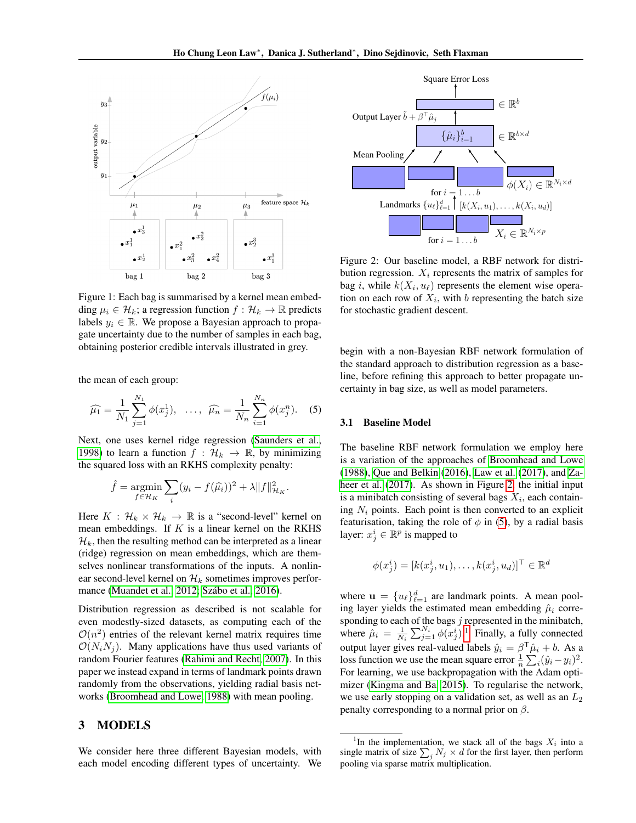<span id="page-2-0"></span>

Figure 1: Each bag is summarised by a kernel mean embedding  $\mu_i \in \mathcal{H}_k$ ; a regression function  $f : \mathcal{H}_k \to \mathbb{R}$  predicts labels  $y_i \in \mathbb{R}$ . We propose a Bayesian approach to propagate uncertainty due to the number of samples in each bag, obtaining posterior credible intervals illustrated in grey.

the mean of each group:

<span id="page-2-2"></span>
$$
\widehat{\mu_1} = \frac{1}{N_1} \sum_{j=1}^{N_1} \phi(x_j^1), \ \ \dots, \ \ \widehat{\mu_n} = \frac{1}{N_n} \sum_{i=1}^{N_n} \phi(x_j^n). \tag{5}
$$

Next, one uses kernel ridge regression [\(Saunders et al.,](#page-9-5) [1998\)](#page-9-5) to learn a function  $f : \mathcal{H}_k \to \mathbb{R}$ , by minimizing the squared loss with an RKHS complexity penalty:

$$
\hat{f} = \underset{f \in \mathcal{H}_K}{\text{argmin}} \sum_i (y_i - f(\hat{\mu_i}))^2 + \lambda \|f\|_{\mathcal{H}_K}^2.
$$

Here  $K : \mathcal{H}_k \times \mathcal{H}_k \to \mathbb{R}$  is a "second-level" kernel on mean embeddings. If  $K$  is a linear kernel on the RKHS  $\mathcal{H}_k$ , then the resulting method can be interpreted as a linear (ridge) regression on mean embeddings, which are themselves nonlinear transformations of the inputs. A nonlinear second-level kernel on  $\mathcal{H}_k$  sometimes improves perfor-mance [\(Muandet et al., 2012;](#page-8-7) Szábo et al., 2016).

Distribution regression as described is not scalable for even modestly-sized datasets, as computing each of the  $\mathcal{O}(n^2)$  entries of the relevant kernel matrix requires time  $\mathcal{O}(N_iN_j)$ . Many applications have thus used variants of random Fourier features [\(Rahimi and Recht, 2007\)](#page-9-6). In this paper we instead expand in terms of landmark points drawn randomly from the observations, yielding radial basis networks [\(Broomhead and Lowe, 1988\)](#page-8-11) with mean pooling.

### 3 MODELS

We consider here three different Bayesian models, with each model encoding different types of uncertainty. We

<span id="page-2-1"></span>

Figure 2: Our baseline model, a RBF network for distribution regression.  $X_i$  represents the matrix of samples for bag *i*, while  $k(X_i, u_\ell)$  represents the element wise operation on each row of  $X_i$ , with b representing the batch size for stochastic gradient descent.

begin with a non-Bayesian RBF network formulation of the standard approach to distribution regression as a baseline, before refining this approach to better propagate uncertainty in bag size, as well as model parameters.

### <span id="page-2-4"></span>3.1 Baseline Model

The baseline RBF network formulation we employ here is a variation of the approaches of [Broomhead and Lowe](#page-8-11) [\(1988\)](#page-8-11), [Que and Belkin](#page-9-7) [\(2016\)](#page-9-7), [Law et al.](#page-8-12) [\(2017\)](#page-8-12), and [Za](#page-9-8)[heer et al.](#page-9-8) [\(2017\)](#page-9-8). As shown in Figure [2,](#page-2-1) the initial input is a minibatch consisting of several bags  $X_i$ , each containing  $N_i$  points. Each point is then converted to an explicit featurisation, taking the role of  $\phi$  in [\(5\)](#page-2-2), by a radial basis layer:  $x_j^i \in \mathbb{R}^p$  is mapped to

$$
\phi(x_j^i) = [k(x_j^i, u_1), \dots, k(x_j^i, u_d)]^\top \in \mathbb{R}^d
$$

where  $\mathbf{u} = \{u_{\ell}\}_{\ell=1}^d$  are landmark points. A mean pooling layer yields the estimated mean embedding  $\hat{\mu}_i$  corresponding to each of the bags  $j$  represented in the minibatch, where  $\hat{\mu}_i = \frac{1}{N_i} \sum_{j=1}^{N_i} \phi(x_j^i)$  $\hat{\mu}_i = \frac{1}{N_i} \sum_{j=1}^{N_i} \phi(x_j^i)$  $\hat{\mu}_i = \frac{1}{N_i} \sum_{j=1}^{N_i} \phi(x_j^i)$ .<sup>1</sup> Finally, a fully connected output layer gives real-valued labels  $\hat{y}_i = \beta^{\mathsf{T}} \hat{\mu}_i + b$ . As a loss function we use the mean square error  $\frac{1}{n} \sum_i (\hat{y}_i - y_i)^2$ . For learning, we use backpropagation with the Adam optimizer [\(Kingma and Ba, 2015\)](#page-8-13). To regularise the network, we use early stopping on a validation set, as well as an  $L_2$ penalty corresponding to a normal prior on  $\beta$ .

<span id="page-2-3"></span><sup>&</sup>lt;sup>1</sup>In the implementation, we stack all of the bags  $X_i$  into a single matrix of size  $\sum_j N_j \times d$  for the first layer, then perform pooling via sparse matrix multiplication.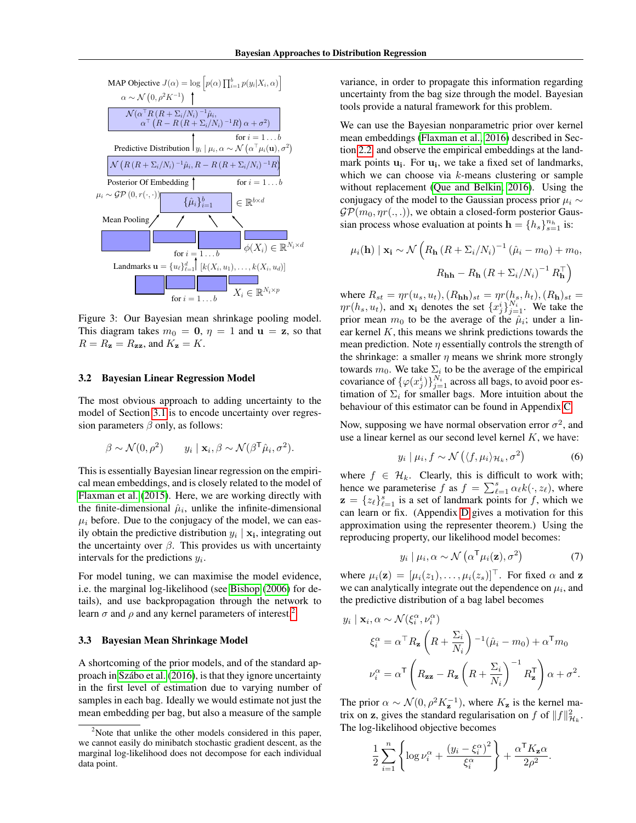<span id="page-3-1"></span>

Figure 3: Our Bayesian mean shrinkage pooling model. This diagram takes  $m_0 = 0$ ,  $\eta = 1$  and  $\mathbf{u} = \mathbf{z}$ , so that  $R = R_{\mathbf{z}} = R_{\mathbf{z}\mathbf{z}}$ , and  $K_{\mathbf{z}} = K$ .

#### <span id="page-3-2"></span>3.2 Bayesian Linear Regression Model

The most obvious approach to adding uncertainty to the model of Section [3.1](#page-2-4) is to encode uncertainty over regression parameters  $\beta$  only, as follows:

$$
\beta \sim \mathcal{N}(0, \rho^2) \qquad y_i \mid \mathbf{x}_i, \beta \sim \mathcal{N}(\beta^{\mathsf{T}} \hat{\mu}_i, \sigma^2).
$$

This is essentially Bayesian linear regression on the empirical mean embeddings, and is closely related to the model of [Flaxman et al.](#page-8-2) [\(2015\)](#page-8-2). Here, we are working directly with the finite-dimensional  $\hat{\mu}_i$ , unlike the infinite-dimensional  $\mu_i$  before. Due to the conjugacy of the model, we can easily obtain the predictive distribution  $y_i | \mathbf{x_i}$ , integrating out the uncertainty over  $\beta$ . This provides us with uncertainty intervals for the predictions  $y_i$ .

For model tuning, we can maximise the model evidence, i.e. the marginal log-likelihood (see [Bishop](#page-8-14) [\(2006\)](#page-8-14) for details), and use backpropagation through the network to learn  $\sigma$  and  $\rho$  and any kernel parameters of interest.<sup>[2](#page-3-0)</sup>

#### 3.3 Bayesian Mean Shrinkage Model

A shortcoming of the prior models, and of the standard approach in [Szabo et al.](#page-9-2) [\(2016\)](#page-9-2), is that they ignore uncertainty ´ in the first level of estimation due to varying number of samples in each bag. Ideally we would estimate not just the mean embedding per bag, but also a measure of the sample variance, in order to propagate this information regarding uncertainty from the bag size through the model. Bayesian tools provide a natural framework for this problem.

We can use the Bayesian nonparametric prior over kernel mean embeddings [\(Flaxman et al., 2016\)](#page-8-8) described in Section [2.2,](#page-1-2) and observe the empirical embeddings at the landmark points  $\mathbf{u_i}$ . For  $\mathbf{u_i}$ , we take a fixed set of landmarks, which we can choose via k-means clustering or sample without replacement [\(Que and Belkin, 2016\)](#page-9-7). Using the conjugacy of the model to the Gaussian process prior  $\mu_i \sim$  $\mathcal{GP}(m_0, \eta r(., .))$ , we obtain a closed-form posterior Gaussian process whose evaluation at points  $\mathbf{h} = \{h_s\}_{s=1}^{n_h}$  is:

$$
\mu_i(\mathbf{h}) \mid \mathbf{x_i} \sim \mathcal{N} \left( R_{\mathbf{h}} \left( R + \Sigma_i / N_i \right)^{-1} \left( \hat{\mu}_i - m_0 \right) + m_0, \right.
$$

$$
R_{\mathbf{h}} - R_{\mathbf{h}} \left( R + \Sigma_i / N_i \right)^{-1} R_{\mathbf{h}}^{\top}
$$

where  $R_{st} = \eta r(u_s, u_t)$ ,  $(R_{\text{hh}})_{st} = \eta r(h_s, h_t)$ ,  $(R_{\text{h}})_{st} =$  $\eta r(h_s, u_t)$ , and  $\mathbf{x_i}$  denotes the set  $\{x_j^i\}_{j=1}^{N_i}$ . We take the prior mean  $m_0$  to be the average of the  $\hat{\mu}_i$ ; under a linear kernel  $K$ , this means we shrink predictions towards the mean prediction. Note  $\eta$  essentially controls the strength of the shrinkage: a smaller  $\eta$  means we shrink more strongly towards  $m_0$ . We take  $\Sigma_i$  to be the average of the empirical covariance of  $\{\varphi(x_j^i)\}_{j=1}^{N_i}$  across all bags, to avoid poor estimation of  $\Sigma_i$  for smaller bags. More intuition about the behaviour of this estimator can be found in Appendix [C.](#page--1-2)

Now, supposing we have normal observation error  $\sigma^2$ , and use a linear kernel as our second level kernel K, we have:

$$
y_i \mid \mu_i, f \sim \mathcal{N}\left(\langle f, \mu_i \rangle_{\mathcal{H}_k}, \sigma^2\right) \tag{6}
$$

where  $f \in \mathcal{H}_k$ . Clearly, this is difficult to work with; hence we parameterise f as  $f = \sum_{\ell=1}^{s} \alpha_{\ell} k(\cdot, z_{\ell})$ , where  $\mathbf{z} = \{z_{\ell}\}_{\ell=1}^{s}$  is a set of landmark points for f, which we can learn or fix. (Appendix [D](#page--1-3) gives a motivation for this approximation using the representer theorem.) Using the reproducing property, our likelihood model becomes:

$$
y_i | \mu_i, \alpha \sim \mathcal{N}\left(\alpha^{\mathsf{T}} \mu_i(\mathbf{z}), \sigma^2\right) \tag{7}
$$

where  $\mu_i(\mathbf{z}) = [\mu_i(z_1), \dots, \mu_i(z_s)]^\top$ . For fixed  $\alpha$  and  $\mathbf{z}$ we can analytically integrate out the dependence on  $\mu_i$ , and the predictive distribution of a bag label becomes

$$
y_i | \mathbf{x}_i, \alpha \sim \mathcal{N}(\xi_i^{\alpha}, \nu_i^{\alpha})
$$
  

$$
\xi_i^{\alpha} = \alpha^{\top} R_{\mathbf{z}} \left( R + \frac{\Sigma_i}{N_i} \right)^{-1} (\hat{\mu}_i - m_0) + \alpha^{\top} m_0
$$
  

$$
\nu_i^{\alpha} = \alpha^{\top} \left( R_{\mathbf{z} \mathbf{z}} - R_{\mathbf{z}} \left( R + \frac{\Sigma_i}{N_i} \right)^{-1} R_{\mathbf{z}}^{\top} \right) \alpha + \sigma^2.
$$

The prior  $\alpha \sim \mathcal{N}(0, \rho^2 K_{\mathbf{z}}^{-1})$ , where  $K_{\mathbf{z}}$  is the kernel matrix on z, gives the standard regularisation on f of  $||f||_{\mathcal{H}_k}^2$ . The log-likelihood objective becomes

$$
\frac{1}{2} \sum_{i=1}^{n} \left\{ \log \nu_i^{\alpha} + \frac{(y_i - \xi_i^{\alpha})^2}{\xi_i^{\alpha}} \right\} + \frac{\alpha^{\mathsf{T}} K_{\mathbf{z}} \alpha}{2\rho^2}.
$$

<span id="page-3-0"></span><sup>&</sup>lt;sup>2</sup>Note that unlike the other models considered in this paper, we cannot easily do minibatch stochastic gradient descent, as the marginal log-likelihood does not decompose for each individual data point.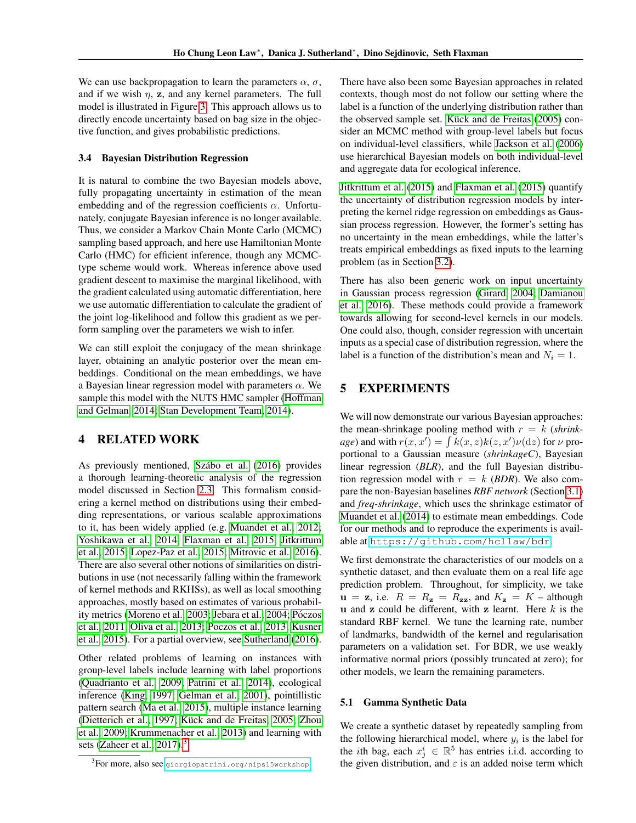We can use backpropagation to learn the parameters  $\alpha$ ,  $\sigma$ , and if we wish  $\eta$ , z, and any kernel parameters. The full model is illustrated in Figure [3.](#page-3-1) This approach allows us to directly encode uncertainty based on bag size in the objective function, and gives probabilistic predictions.

#### 3.4 Bayesian Distribution Regression

It is natural to combine the two Bayesian models above, fully propagating uncertainty in estimation of the mean embedding and of the regression coefficients  $\alpha$ . Unfortunately, conjugate Bayesian inference is no longer available. Thus, we consider a Markov Chain Monte Carlo (MCMC) sampling based approach, and here use Hamiltonian Monte Carlo (HMC) for efficient inference, though any MCMCtype scheme would work. Whereas inference above used gradient descent to maximise the marginal likelihood, with the gradient calculated using automatic differentiation, here we use automatic differentiation to calculate the gradient of the joint log-likelihood and follow this gradient as we perform sampling over the parameters we wish to infer.

We can still exploit the conjugacy of the mean shrinkage layer, obtaining an analytic posterior over the mean embeddings. Conditional on the mean embeddings, we have a Bayesian linear regression model with parameters  $\alpha$ . We sample this model with the NUTS HMC sampler [\(Hoffman](#page-8-15) [and Gelman, 2014;](#page-8-15) [Stan Development Team, 2014\)](#page-9-9).

# 4 RELATED WORK

As previously mentioned, Szábo et al. [\(2016\)](#page-9-2) provides a thorough learning-theoretic analysis of the regression model discussed in Section [2.3.](#page-1-3) This formalism considering a kernel method on distributions using their embedding representations, or various scalable approximations to it, has been widely applied (e.g. [Muandet et al., 2012;](#page-8-7) [Yoshikawa et al., 2014;](#page-9-1) [Flaxman et al., 2015;](#page-8-2) [Jitkrittum](#page-8-1) [et al., 2015;](#page-8-1) [Lopez-Paz et al., 2015;](#page-8-5) [Mitrovic et al., 2016\)](#page-8-0). There are also several other notions of similarities on distributions in use (not necessarily falling within the framework of kernel methods and RKHSs), as well as local smoothing approaches, mostly based on estimates of various probabil-ity metrics [\(Moreno et al., 2003;](#page-8-16) [Jebara et al., 2004;](#page-8-17) Póczos [et al., 2011;](#page-9-10) [Oliva et al., 2013;](#page-9-11) [Poczos et al., 2013;](#page-9-12) [Kusner](#page-8-6) [et al., 2015\)](#page-8-6). For a partial overview, see [Sutherland](#page-9-13) [\(2016\)](#page-9-13).

Other related problems of learning on instances with group-level labels include learning with label proportions [\(Quadrianto et al., 2009;](#page-9-14) [Patrini et al., 2014\)](#page-9-15), ecological inference [\(King, 1997;](#page-8-18) [Gelman et al., 2001\)](#page-8-19), pointillistic pattern search [\(Ma et al., 2015\)](#page-8-20), multiple instance learning [\(Dietterich et al., 1997;](#page-8-21) Kück and de Freitas, 2005; [Zhou](#page-9-16) [et al., 2009;](#page-9-16) [Krummenacher et al., 2013\)](#page-8-23) and learning with sets [\(Zaheer et al., 2017\)](#page-9-8).<sup>[3](#page-4-0)</sup>

There have also been some Bayesian approaches in related contexts, though most do not follow our setting where the label is a function of the underlying distribution rather than the observed sample set. Kück and de Freitas [\(2005\)](#page-8-22) consider an MCMC method with group-level labels but focus on individual-level classifiers, while [Jackson et al.](#page-8-24) [\(2006\)](#page-8-24) use hierarchical Bayesian models on both individual-level and aggregate data for ecological inference.

[Jitkrittum et al.](#page-8-1) [\(2015\)](#page-8-1) and [Flaxman et al.](#page-8-2) [\(2015\)](#page-8-2) quantify the uncertainty of distribution regression models by interpreting the kernel ridge regression on embeddings as Gaussian process regression. However, the former's setting has no uncertainty in the mean embeddings, while the latter's treats empirical embeddings as fixed inputs to the learning problem (as in Section [3.2\)](#page-3-2).

There has also been generic work on input uncertainty in Gaussian process regression [\(Girard, 2004;](#page-8-25) [Damianou](#page-8-26) [et al., 2016\)](#page-8-26). These methods could provide a framework towards allowing for second-level kernels in our models. One could also, though, consider regression with uncertain inputs as a special case of distribution regression, where the label is a function of the distribution's mean and  $N_i = 1$ .

# 5 EXPERIMENTS

We will now demonstrate our various Bayesian approaches: the mean-shrinkage pooling method with  $r = k$  (*shrinkage*) and with  $r(x, x') = \int k(x, z)k(z, x')\nu(\mathrm{d}z)$  for  $\nu$  proportional to a Gaussian measure (*shrinkageC*), Bayesian linear regression (*BLR*), and the full Bayesian distribution regression model with  $r = k$  (*BDR*). We also compare the non-Bayesian baselines *RBF network* (Section [3.1\)](#page-2-4) and *freq-shrinkage*, which uses the shrinkage estimator of [Muandet et al.](#page-8-10) [\(2014\)](#page-8-10) to estimate mean embeddings. Code for our methods and to reproduce the experiments is available at <https://github.com/hcllaw/bdr>.

We first demonstrate the characteristics of our models on a synthetic dataset, and then evaluate them on a real life age prediction problem. Throughout, for simplicity, we take  $u = z$ , i.e.  $R = R_z = R_{zz}$ , and  $K_z = K$  – although u and z could be different, with z learnt. Here  $k$  is the standard RBF kernel. We tune the learning rate, number of landmarks, bandwidth of the kernel and regularisation parameters on a validation set. For BDR, we use weakly informative normal priors (possibly truncated at zero); for other models, we learn the remaining parameters.

### <span id="page-4-1"></span>5.1 Gamma Synthetic Data

We create a synthetic dataset by repeatedly sampling from the following hierarchical model, where  $y_i$  is the label for the *i*th bag, each  $x_j^i \in \mathbb{R}^5$  has entries i.i.d. according to the given distribution, and  $\varepsilon$  is an added noise term which

<span id="page-4-0"></span> ${}^{3}$ For more, also see [giorgiopatrini.org/nips15workshop](http://giorgiopatrini.org/nips15workshop).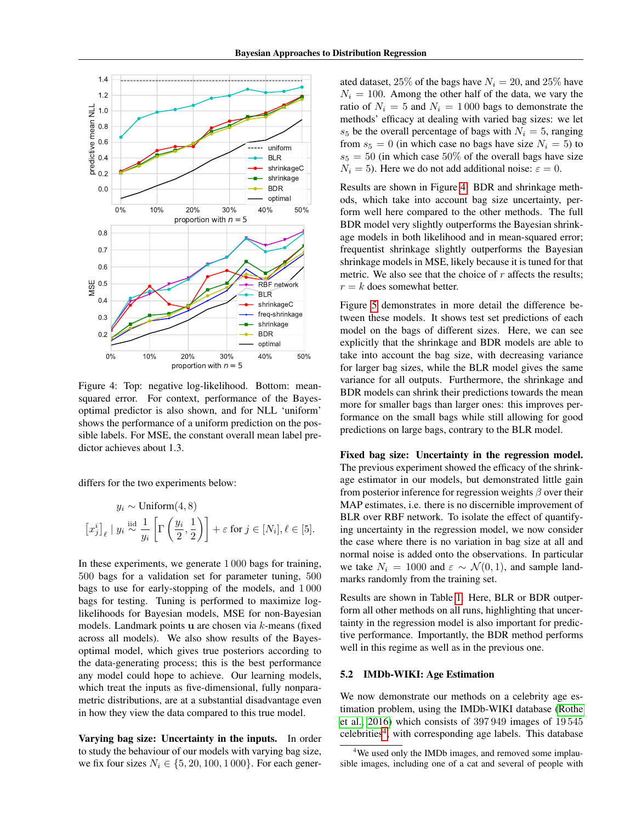<span id="page-5-0"></span>

Figure 4: Top: negative log-likelihood. Bottom: meansquared error. For context, performance of the Bayesoptimal predictor is also shown, and for NLL 'uniform' shows the performance of a uniform prediction on the possible labels. For MSE, the constant overall mean label predictor achieves about 1.3.

differs for the two experiments below:

$$
y_i \sim \text{Uniform}(4, 8)
$$

$$
\left[x_j^i\right]_\ell \mid y_i \stackrel{\text{iid}}{\sim} \frac{1}{y_i} \left[\Gamma\left(\frac{y_i}{2}, \frac{1}{2}\right)\right] + \varepsilon \text{ for } j \in [N_i], \ell \in [5].
$$

In these experiments, we generate 1 000 bags for training, 500 bags for a validation set for parameter tuning, 500 bags to use for early-stopping of the models, and 1 000 bags for testing. Tuning is performed to maximize loglikelihoods for Bayesian models, MSE for non-Bayesian models. Landmark points u are chosen via k-means (fixed across all models). We also show results of the Bayesoptimal model, which gives true posteriors according to the data-generating process; this is the best performance any model could hope to achieve. Our learning models, which treat the inputs as five-dimensional, fully nonparametric distributions, are at a substantial disadvantage even in how they view the data compared to this true model.

Varying bag size: Uncertainty in the inputs. In order to study the behaviour of our models with varying bag size, we fix four sizes  $N_i \in \{5, 20, 100, 1000\}$ . For each generated dataset, 25% of the bags have  $N_i = 20$ , and 25% have  $N_i = 100$ . Among the other half of the data, we vary the ratio of  $N_i = 5$  and  $N_i = 1000$  bags to demonstrate the methods' efficacy at dealing with varied bag sizes: we let  $s_5$  be the overall percentage of bags with  $N_i = 5$ , ranging from  $s_5 = 0$  (in which case no bags have size  $N_i = 5$ ) to  $s_5 = 50$  (in which case 50% of the overall bags have size  $N_i = 5$ ). Here we do not add additional noise:  $\varepsilon = 0$ .

Results are shown in Figure [4.](#page-5-0) BDR and shrinkage methods, which take into account bag size uncertainty, perform well here compared to the other methods. The full BDR model very slightly outperforms the Bayesian shrinkage models in both likelihood and in mean-squared error; frequentist shrinkage slightly outperforms the Bayesian shrinkage models in MSE, likely because it is tuned for that metric. We also see that the choice of  $r$  affects the results;  $r = k$  does somewhat better.

Figure [5](#page-6-0) demonstrates in more detail the difference between these models. It shows test set predictions of each model on the bags of different sizes. Here, we can see explicitly that the shrinkage and BDR models are able to take into account the bag size, with decreasing variance for larger bag sizes, while the BLR model gives the same variance for all outputs. Furthermore, the shrinkage and BDR models can shrink their predictions towards the mean more for smaller bags than larger ones: this improves performance on the small bags while still allowing for good predictions on large bags, contrary to the BLR model.

Fixed bag size: Uncertainty in the regression model. The previous experiment showed the efficacy of the shrinkage estimator in our models, but demonstrated little gain from posterior inference for regression weights  $\beta$  over their MAP estimates, i.e. there is no discernible improvement of BLR over RBF network. To isolate the effect of quantifying uncertainty in the regression model, we now consider the case where there is no variation in bag size at all and normal noise is added onto the observations. In particular we take  $N_i = 1000$  and  $\varepsilon \sim \mathcal{N}(0, 1)$ , and sample landmarks randomly from the training set.

Results are shown in Table [1.](#page-7-0) Here, BLR or BDR outperform all other methods on all runs, highlighting that uncertainty in the regression model is also important for predictive performance. Importantly, the BDR method performs well in this regime as well as in the previous one.

### <span id="page-5-2"></span>5.2 IMDb-WIKI: Age Estimation

We now demonstrate our methods on a celebrity age estimation problem, using the IMDb-WIKI database [\(Rothe](#page-9-17) [et al., 2016\)](#page-9-17) which consists of 397 949 images of 19 545 celebrities<sup>[4](#page-5-1)</sup>, with corresponding age labels. This database

<span id="page-5-1"></span><sup>&</sup>lt;sup>4</sup>We used only the IMDb images, and removed some implausible images, including one of a cat and several of people with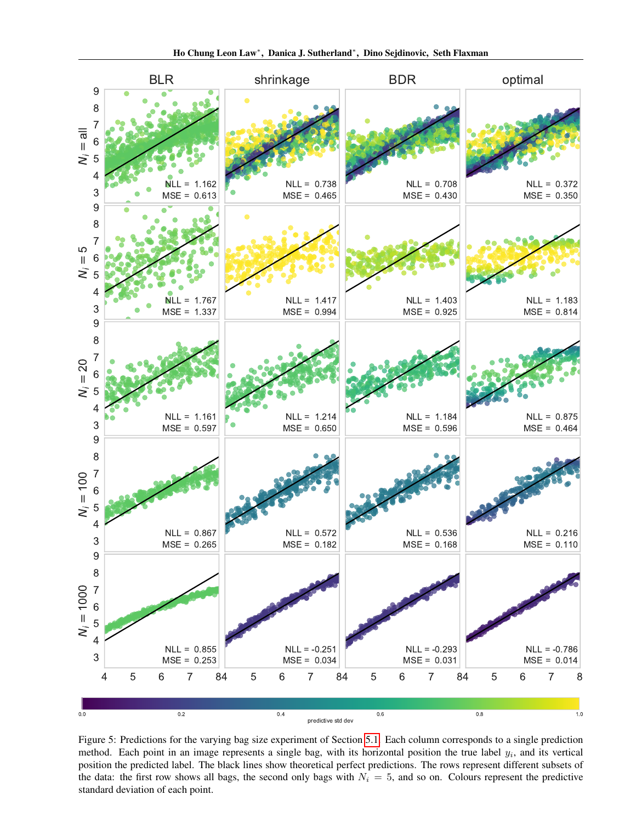<span id="page-6-0"></span>

Figure 5: Predictions for the varying bag size experiment of Section [5.1.](#page-4-1) Each column corresponds to a single prediction method. Each point in an image represents a single bag, with its horizontal position the true label  $y_i$ , and its vertical position the predicted label. The black lines show theoretical perfect predictions. The rows represent different subsets of the data: the first row shows all bags, the second only bags with  $N_i = 5$ , and so on. Colours represent the predictive standard deviation of each point.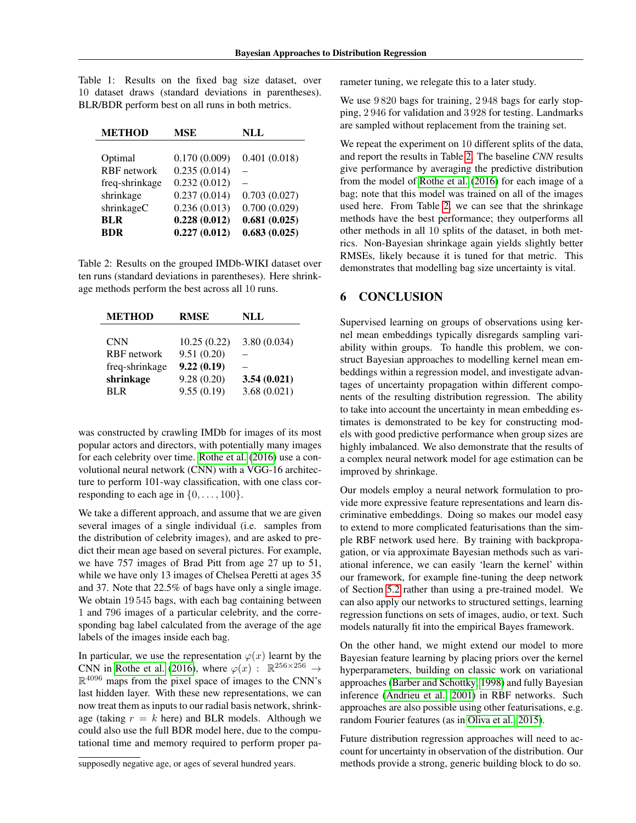<span id="page-7-0"></span>Table 1: Results on the fixed bag size dataset, over 10 dataset draws (standard deviations in parentheses). BLR/BDR perform best on all runs in both metrics.

| <b>METHOD</b>      | <b>MSE</b>   | NLL          |
|--------------------|--------------|--------------|
|                    |              |              |
| Optimal            | 0.170(0.009) | 0.401(0.018) |
| <b>RBF</b> network | 0.235(0.014) |              |
| freq-shrinkage     | 0.232(0.012) |              |
| shrinkage          | 0.237(0.014) | 0.703(0.027) |
| shrinkageC         | 0.236(0.013) | 0.700(0.029) |
| <b>BLR</b>         | 0.228(0.012) | 0.681(0.025) |
| <b>BDR</b>         | 0.227(0.012) | 0.683(0.025) |

<span id="page-7-1"></span>Table 2: Results on the grouped IMDb-WIKI dataset over ten runs (standard deviations in parentheses). Here shrinkage methods perform the best across all 10 runs.

| <b>METHOD</b>      | <b>RMSE</b> | NLL         |
|--------------------|-------------|-------------|
|                    |             |             |
| <b>CNN</b>         | 10.25(0.22) | 3.80(0.034) |
| <b>RBF</b> network | 9.51(0.20)  |             |
| freq-shrinkage     | 9.22(0.19)  |             |
| shrinkage          | 9.28(0.20)  | 3.54(0.021) |
| <b>BLR</b>         | 9.55(0.19)  | 3.68(0.021) |

was constructed by crawling IMDb for images of its most popular actors and directors, with potentially many images for each celebrity over time. [Rothe et al.](#page-9-17) [\(2016\)](#page-9-17) use a convolutional neural network (CNN) with a VGG-16 architecture to perform 101-way classification, with one class corresponding to each age in  $\{0, \ldots, 100\}$ .

We take a different approach, and assume that we are given several images of a single individual (i.e. samples from the distribution of celebrity images), and are asked to predict their mean age based on several pictures. For example, we have 757 images of Brad Pitt from age 27 up to 51, while we have only 13 images of Chelsea Peretti at ages 35 and 37. Note that 22.5% of bags have only a single image. We obtain 19545 bags, with each bag containing between 1 and 796 images of a particular celebrity, and the corresponding bag label calculated from the average of the age labels of the images inside each bag.

In particular, we use the representation  $\varphi(x)$  learnt by the CNN in [Rothe et al.](#page-9-17) [\(2016\)](#page-9-17), where  $\varphi(x)$ :  $\mathbb{R}^{256 \times 256} \rightarrow$  $\mathbb{R}^{4096}$  maps from the pixel space of images to the CNN's last hidden layer. With these new representations, we can now treat them as inputs to our radial basis network, shrinkage (taking  $r = k$  here) and BLR models. Although we could also use the full BDR model here, due to the computational time and memory required to perform proper parameter tuning, we relegate this to a later study.

We use  $9820$  bags for training,  $2948$  bags for early stopping, 2 946 for validation and 3 928 for testing. Landmarks are sampled without replacement from the training set.

We repeat the experiment on 10 different splits of the data, and report the results in Table [2.](#page-7-1) The baseline *CNN* results give performance by averaging the predictive distribution from the model of [Rothe et al.](#page-9-17) [\(2016\)](#page-9-17) for each image of a bag; note that this model was trained on all of the images used here. From Table [2,](#page-7-1) we can see that the shrinkage methods have the best performance; they outperforms all other methods in all 10 splits of the dataset, in both metrics. Non-Bayesian shrinkage again yields slightly better RMSEs, likely because it is tuned for that metric. This demonstrates that modelling bag size uncertainty is vital.

# 6 CONCLUSION

Supervised learning on groups of observations using kernel mean embeddings typically disregards sampling variability within groups. To handle this problem, we construct Bayesian approaches to modelling kernel mean embeddings within a regression model, and investigate advantages of uncertainty propagation within different components of the resulting distribution regression. The ability to take into account the uncertainty in mean embedding estimates is demonstrated to be key for constructing models with good predictive performance when group sizes are highly imbalanced. We also demonstrate that the results of a complex neural network model for age estimation can be improved by shrinkage.

Our models employ a neural network formulation to provide more expressive feature representations and learn discriminative embeddings. Doing so makes our model easy to extend to more complicated featurisations than the simple RBF network used here. By training with backpropagation, or via approximate Bayesian methods such as variational inference, we can easily 'learn the kernel' within our framework, for example fine-tuning the deep network of Section [5.2](#page-5-2) rather than using a pre-trained model. We can also apply our networks to structured settings, learning regression functions on sets of images, audio, or text. Such models naturally fit into the empirical Bayes framework.

On the other hand, we might extend our model to more Bayesian feature learning by placing priors over the kernel hyperparameters, building on classic work on variational approaches [\(Barber and Schottky, 1998\)](#page-8-27) and fully Bayesian inference [\(Andrieu et al., 2001\)](#page-8-28) in RBF networks. Such approaches are also possible using other featurisations, e.g. random Fourier features (as in [Oliva et al., 2015\)](#page-9-18).

Future distribution regression approaches will need to account for uncertainty in observation of the distribution. Our methods provide a strong, generic building block to do so.

supposedly negative age, or ages of several hundred years.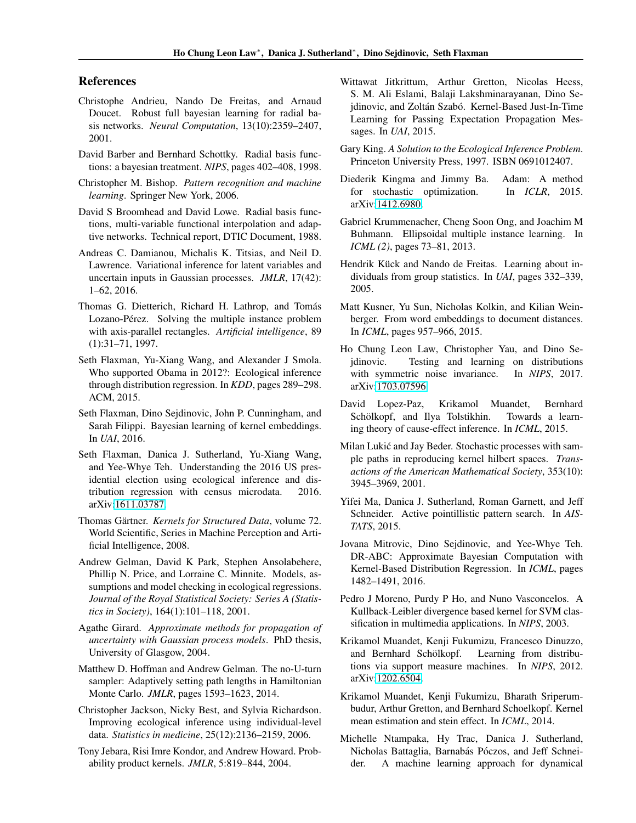### References

- <span id="page-8-28"></span>Christophe Andrieu, Nando De Freitas, and Arnaud Doucet. Robust full bayesian learning for radial basis networks. *Neural Computation*, 13(10):2359–2407, 2001.
- <span id="page-8-27"></span>David Barber and Bernhard Schottky. Radial basis functions: a bayesian treatment. *NIPS*, pages 402–408, 1998.
- <span id="page-8-14"></span>Christopher M. Bishop. *Pattern recognition and machine learning*. Springer New York, 2006.
- <span id="page-8-11"></span>David S Broomhead and David Lowe. Radial basis functions, multi-variable functional interpolation and adaptive networks. Technical report, DTIC Document, 1988.
- <span id="page-8-26"></span>Andreas C. Damianou, Michalis K. Titsias, and Neil D. Lawrence. Variational inference for latent variables and uncertain inputs in Gaussian processes. *JMLR*, 17(42): 1–62, 2016.
- <span id="page-8-21"></span>Thomas G. Dietterich, Richard H. Lathrop, and Tomás Lozano-Pérez. Solving the multiple instance problem with axis-parallel rectangles. *Artificial intelligence*, 89 (1):31–71, 1997.
- <span id="page-8-2"></span>Seth Flaxman, Yu-Xiang Wang, and Alexander J Smola. Who supported Obama in 2012?: Ecological inference through distribution regression. In *KDD*, pages 289–298. ACM, 2015.
- <span id="page-8-8"></span>Seth Flaxman, Dino Sejdinovic, John P. Cunningham, and Sarah Filippi. Bayesian learning of kernel embeddings. In *UAI*, 2016.
- <span id="page-8-3"></span>Seth Flaxman, Danica J. Sutherland, Yu-Xiang Wang, and Yee-Whye Teh. Understanding the 2016 US presidential election using ecological inference and distribution regression with census microdata. 2016. arXiv[:1611.03787.](https://arxiv.org/abs/1611.03787)
- <span id="page-8-9"></span>Thomas Gärtner. Kernels for Structured Data, volume 72. World Scientific, Series in Machine Perception and Artificial Intelligence, 2008.
- <span id="page-8-19"></span>Andrew Gelman, David K Park, Stephen Ansolabehere, Phillip N. Price, and Lorraine C. Minnite. Models, assumptions and model checking in ecological regressions. *Journal of the Royal Statistical Society: Series A (Statistics in Society)*, 164(1):101–118, 2001.
- <span id="page-8-25"></span>Agathe Girard. *Approximate methods for propagation of uncertainty with Gaussian process models*. PhD thesis, University of Glasgow, 2004.
- <span id="page-8-15"></span>Matthew D. Hoffman and Andrew Gelman. The no-U-turn sampler: Adaptively setting path lengths in Hamiltonian Monte Carlo. *JMLR*, pages 1593–1623, 2014.
- <span id="page-8-24"></span>Christopher Jackson, Nicky Best, and Sylvia Richardson. Improving ecological inference using individual-level data. *Statistics in medicine*, 25(12):2136–2159, 2006.
- <span id="page-8-17"></span>Tony Jebara, Risi Imre Kondor, and Andrew Howard. Probability product kernels. *JMLR*, 5:819–844, 2004.
- <span id="page-8-1"></span>Wittawat Jitkrittum, Arthur Gretton, Nicolas Heess, S. M. Ali Eslami, Balaji Lakshminarayanan, Dino Sejdinovic, and Zoltán Szabó. Kernel-Based Just-In-Time Learning for Passing Expectation Propagation Messages. In *UAI*, 2015.
- <span id="page-8-18"></span>Gary King. *A Solution to the Ecological Inference Problem*. Princeton University Press, 1997. ISBN 0691012407.
- <span id="page-8-13"></span>Diederik Kingma and Jimmy Ba. Adam: A method for stochastic optimization. In *ICLR*, 2015. arXiv[:1412.6980.](https://arxiv.org/abs/1412.6980)
- <span id="page-8-23"></span>Gabriel Krummenacher, Cheng Soon Ong, and Joachim M Buhmann. Ellipsoidal multiple instance learning. In *ICML (2)*, pages 73–81, 2013.
- <span id="page-8-22"></span>Hendrik Kück and Nando de Freitas. Learning about individuals from group statistics. In *UAI*, pages 332–339, 2005.
- <span id="page-8-6"></span>Matt Kusner, Yu Sun, Nicholas Kolkin, and Kilian Weinberger. From word embeddings to document distances. In *ICML*, pages 957–966, 2015.
- <span id="page-8-12"></span>Ho Chung Leon Law, Christopher Yau, and Dino Sejdinovic. Testing and learning on distributions with symmetric noise invariance. In *NIPS*, 2017. arXiv[:1703.07596.](https://arxiv.org/abs/1703.07596)
- <span id="page-8-5"></span>David Lopez-Paz, Krikamol Muandet, Bernhard Schölkopf, and Ilya Tolstikhin. Towards a learning theory of cause-effect inference. In *ICML*, 2015.
- Milan Lukić and Jay Beder. Stochastic processes with sample paths in reproducing kernel hilbert spaces. *Transactions of the American Mathematical Society*, 353(10): 3945–3969, 2001.
- <span id="page-8-20"></span>Yifei Ma, Danica J. Sutherland, Roman Garnett, and Jeff Schneider. Active pointillistic pattern search. In *AIS-TATS*, 2015.
- <span id="page-8-0"></span>Jovana Mitrovic, Dino Sejdinovic, and Yee-Whye Teh. DR-ABC: Approximate Bayesian Computation with Kernel-Based Distribution Regression. In *ICML*, pages 1482–1491, 2016.
- <span id="page-8-16"></span>Pedro J Moreno, Purdy P Ho, and Nuno Vasconcelos. A Kullback-Leibler divergence based kernel for SVM classification in multimedia applications. In *NIPS*, 2003.
- <span id="page-8-7"></span>Krikamol Muandet, Kenji Fukumizu, Francesco Dinuzzo, and Bernhard Schölkopf. Learning from distributions via support measure machines. In *NIPS*, 2012. arXiv[:1202.6504.](https://arxiv.org/abs/1202.6504)
- <span id="page-8-10"></span>Krikamol Muandet, Kenji Fukumizu, Bharath Sriperumbudur, Arthur Gretton, and Bernhard Schoelkopf. Kernel mean estimation and stein effect. In *ICML*, 2014.
- <span id="page-8-4"></span>Michelle Ntampaka, Hy Trac, Danica J. Sutherland, Nicholas Battaglia, Barnabás Póczos, and Jeff Schneider. A machine learning approach for dynamical